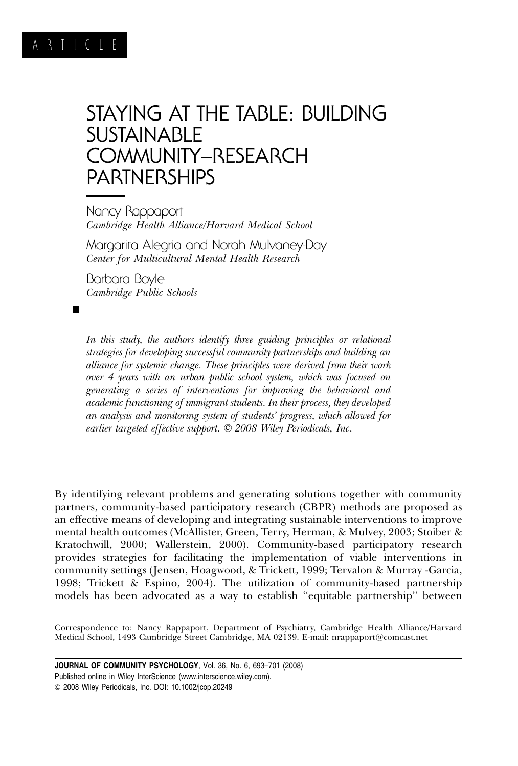# STAYING AT THE TABLE: BUILDING SUSTAINABLE COMMUNITY–RESEARCH PARTNERSHIPS

Nancy Rappaport Cambridge Health Alliance/Harvard Medical School

Margarita Alegria and Norah Mulvaney-Day Center for Multicultural Mental Health Research

Barbara Boyle Cambridge Public Schools

In this study, the authors identify three guiding principles or relational strategies for developing successful community partnerships and building an alliance for systemic change. These principles were derived from their work over 4 years with an urban public school system, which was focused on generating a series of interventions for improving the behavioral and academic functioning of immigrant students. In their process, they developed an analysis and monitoring system of students' progress, which allowed for earlier targeted effective support. *<sup>C</sup>* 2008 Wiley Periodicals, Inc.

By identifying relevant problems and generating solutions together with community partners, community-based participatory research (CBPR) methods are proposed as an effective means of developing and integrating sustainable interventions to improve mental health outcomes (McAllister, Green, Terry, Herman, & Mulvey, 2003; Stoiber & Kratochwill, 2000; Wallerstein, 2000). Community-based participatory research provides strategies for facilitating the implementation of viable interventions in community settings (Jensen, Hoagwood, & Trickett, 1999; Tervalon & Murray -Garcia, 1998; Trickett & Espino, 2004). The utilization of community-based partnership models has been advocated as a way to establish ''equitable partnership'' between

JOURNAL OF COMMUNITY PSYCHOLOGY, Vol. 36, No. 6, 693–701 (2008) Published online in Wiley InterScience (www.interscience.wiley.com). *&* 2008 Wiley Periodicals, Inc. DOI: 10.1002/jcop.20249

Correspondence to: Nancy Rappaport, Department of Psychiatry, Cambridge Health Alliance/Harvard Medical School, 1493 Cambridge Street Cambridge, MA 02139. E-mail: nrappaport@comcast.net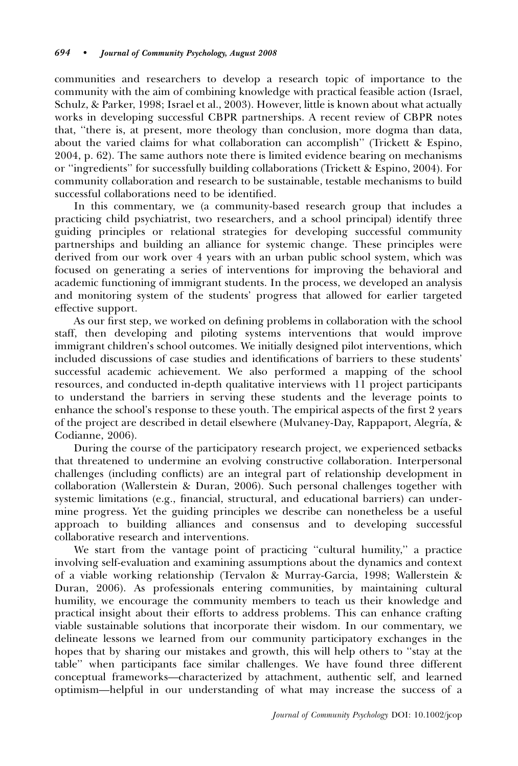communities and researchers to develop a research topic of importance to the community with the aim of combining knowledge with practical feasible action (Israel, Schulz, & Parker, 1998; Israel et al., 2003). However, little is known about what actually works in developing successful CBPR partnerships. A recent review of CBPR notes that, ''there is, at present, more theology than conclusion, more dogma than data, about the varied claims for what collaboration can accomplish'' (Trickett & Espino, 2004, p. 62). The same authors note there is limited evidence bearing on mechanisms or ''ingredients'' for successfully building collaborations (Trickett & Espino, 2004). For community collaboration and research to be sustainable, testable mechanisms to build successful collaborations need to be identified.

In this commentary, we (a community-based research group that includes a practicing child psychiatrist, two researchers, and a school principal) identify three guiding principles or relational strategies for developing successful community partnerships and building an alliance for systemic change. These principles were derived from our work over 4 years with an urban public school system, which was focused on generating a series of interventions for improving the behavioral and academic functioning of immigrant students. In the process, we developed an analysis and monitoring system of the students' progress that allowed for earlier targeted effective support.

As our first step, we worked on defining problems in collaboration with the school staff, then developing and piloting systems interventions that would improve immigrant children's school outcomes. We initially designed pilot interventions, which included discussions of case studies and identifications of barriers to these students' successful academic achievement. We also performed a mapping of the school resources, and conducted in-depth qualitative interviews with 11 project participants to understand the barriers in serving these students and the leverage points to enhance the school's response to these youth. The empirical aspects of the first 2 years of the project are described in detail elsewhere (Mulvaney-Day, Rappaport, Alegría, & Codianne, 2006).

During the course of the participatory research project, we experienced setbacks that threatened to undermine an evolving constructive collaboration. Interpersonal challenges (including conflicts) are an integral part of relationship development in collaboration (Wallerstein & Duran, 2006). Such personal challenges together with systemic limitations (e.g., financial, structural, and educational barriers) can undermine progress. Yet the guiding principles we describe can nonetheless be a useful approach to building alliances and consensus and to developing successful collaborative research and interventions.

We start from the vantage point of practicing "cultural humility," a practice involving self-evaluation and examining assumptions about the dynamics and context of a viable working relationship (Tervalon & Murray-Garcia, 1998; Wallerstein & Duran, 2006). As professionals entering communities, by maintaining cultural humility, we encourage the community members to teach us their knowledge and practical insight about their efforts to address problems. This can enhance crafting viable sustainable solutions that incorporate their wisdom. In our commentary, we delineate lessons we learned from our community participatory exchanges in the hopes that by sharing our mistakes and growth, this will help others to "stay at the table'' when participants face similar challenges. We have found three different conceptual frameworks—characterized by attachment, authentic self, and learned optimism—helpful in our understanding of what may increase the success of a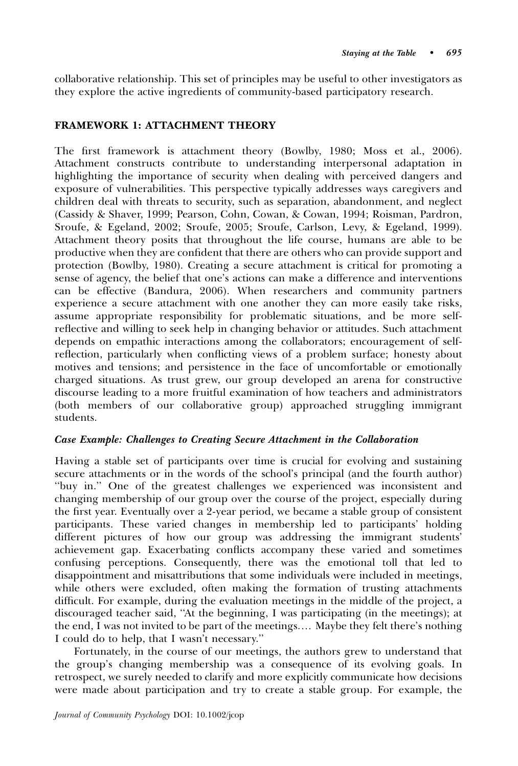collaborative relationship. This set of principles may be useful to other investigators as they explore the active ingredients of community-based participatory research.

# FRAMEWORK 1: ATTACHMENT THEORY

The first framework is attachment theory (Bowlby, 1980; Moss et al., 2006). Attachment constructs contribute to understanding interpersonal adaptation in highlighting the importance of security when dealing with perceived dangers and exposure of vulnerabilities. This perspective typically addresses ways caregivers and children deal with threats to security, such as separation, abandonment, and neglect (Cassidy & Shaver, 1999; Pearson, Cohn, Cowan, & Cowan, 1994; Roisman, Pardron, Sroufe, & Egeland, 2002; Sroufe, 2005; Sroufe, Carlson, Levy, & Egeland, 1999). Attachment theory posits that throughout the life course, humans are able to be productive when they are confident that there are others who can provide support and protection (Bowlby, 1980). Creating a secure attachment is critical for promoting a sense of agency, the belief that one's actions can make a difference and interventions can be effective (Bandura, 2006). When researchers and community partners experience a secure attachment with one another they can more easily take risks, assume appropriate responsibility for problematic situations, and be more selfreflective and willing to seek help in changing behavior or attitudes. Such attachment depends on empathic interactions among the collaborators; encouragement of selfreflection, particularly when conflicting views of a problem surface; honesty about motives and tensions; and persistence in the face of uncomfortable or emotionally charged situations. As trust grew, our group developed an arena for constructive discourse leading to a more fruitful examination of how teachers and administrators (both members of our collaborative group) approached struggling immigrant students.

## Case Example: Challenges to Creating Secure Attachment in the Collaboration

Having a stable set of participants over time is crucial for evolving and sustaining secure attachments or in the words of the school's principal (and the fourth author) ''buy in.'' One of the greatest challenges we experienced was inconsistent and changing membership of our group over the course of the project, especially during the first year. Eventually over a 2-year period, we became a stable group of consistent participants. These varied changes in membership led to participants' holding different pictures of how our group was addressing the immigrant students' achievement gap. Exacerbating conflicts accompany these varied and sometimes confusing perceptions. Consequently, there was the emotional toll that led to disappointment and misattributions that some individuals were included in meetings, while others were excluded, often making the formation of trusting attachments difficult. For example, during the evaluation meetings in the middle of the project, a discouraged teacher said, ''At the beginning, I was participating (in the meetings); at the end, I was not invited to be part of the meetings.... Maybe they felt there's nothing I could do to help, that I wasn't necessary.''

Fortunately, in the course of our meetings, the authors grew to understand that the group's changing membership was a consequence of its evolving goals. In retrospect, we surely needed to clarify and more explicitly communicate how decisions were made about participation and try to create a stable group. For example, the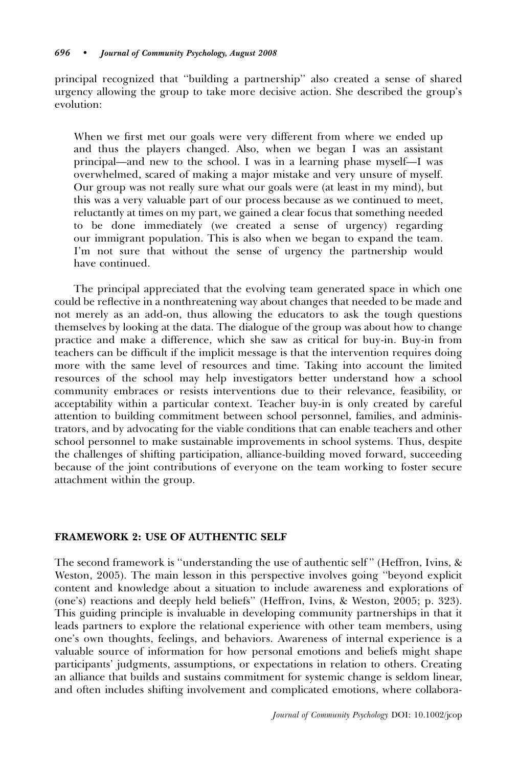principal recognized that ''building a partnership'' also created a sense of shared urgency allowing the group to take more decisive action. She described the group's evolution:

When we first met our goals were very different from where we ended up and thus the players changed. Also, when we began I was an assistant principal—and new to the school. I was in a learning phase myself—I was overwhelmed, scared of making a major mistake and very unsure of myself. Our group was not really sure what our goals were (at least in my mind), but this was a very valuable part of our process because as we continued to meet, reluctantly at times on my part, we gained a clear focus that something needed to be done immediately (we created a sense of urgency) regarding our immigrant population. This is also when we began to expand the team. I'm not sure that without the sense of urgency the partnership would have continued.

The principal appreciated that the evolving team generated space in which one could be reflective in a nonthreatening way about changes that needed to be made and not merely as an add-on, thus allowing the educators to ask the tough questions themselves by looking at the data. The dialogue of the group was about how to change practice and make a difference, which she saw as critical for buy-in. Buy-in from teachers can be difficult if the implicit message is that the intervention requires doing more with the same level of resources and time. Taking into account the limited resources of the school may help investigators better understand how a school community embraces or resists interventions due to their relevance, feasibility, or acceptability within a particular context. Teacher buy-in is only created by careful attention to building commitment between school personnel, families, and administrators, and by advocating for the viable conditions that can enable teachers and other school personnel to make sustainable improvements in school systems. Thus, despite the challenges of shifting participation, alliance-building moved forward, succeeding because of the joint contributions of everyone on the team working to foster secure attachment within the group.

## FRAMEWORK 2: USE OF AUTHENTIC SELF

The second framework is ''understanding the use of authentic self '' (Heffron, Ivins, & Weston, 2005). The main lesson in this perspective involves going ''beyond explicit content and knowledge about a situation to include awareness and explorations of (one's) reactions and deeply held beliefs'' (Heffron, Ivins, & Weston, 2005; p. 323). This guiding principle is invaluable in developing community partnerships in that it leads partners to explore the relational experience with other team members, using one's own thoughts, feelings, and behaviors. Awareness of internal experience is a valuable source of information for how personal emotions and beliefs might shape participants' judgments, assumptions, or expectations in relation to others. Creating an alliance that builds and sustains commitment for systemic change is seldom linear, and often includes shifting involvement and complicated emotions, where collabora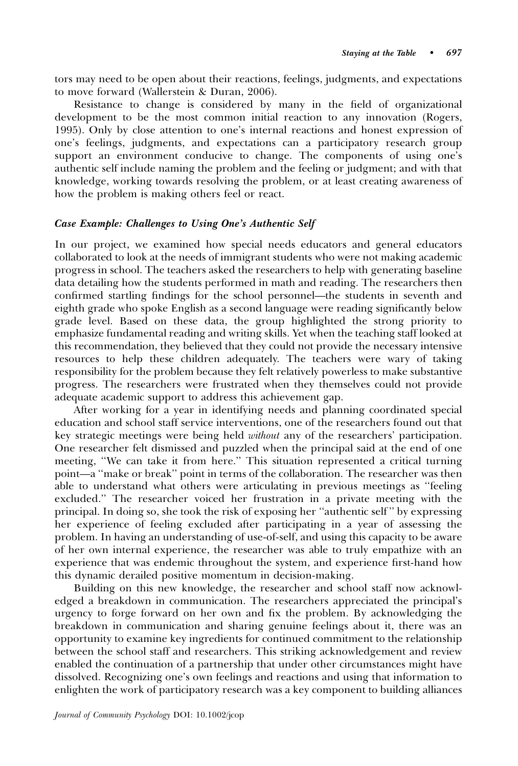tors may need to be open about their reactions, feelings, judgments, and expectations to move forward (Wallerstein & Duran, 2006).

Resistance to change is considered by many in the field of organizational development to be the most common initial reaction to any innovation (Rogers, 1995). Only by close attention to one's internal reactions and honest expression of one's feelings, judgments, and expectations can a participatory research group support an environment conducive to change. The components of using one's authentic self include naming the problem and the feeling or judgment; and with that knowledge, working towards resolving the problem, or at least creating awareness of how the problem is making others feel or react.

#### Case Example: Challenges to Using One's Authentic Self

In our project, we examined how special needs educators and general educators collaborated to look at the needs of immigrant students who were not making academic progress in school. The teachers asked the researchers to help with generating baseline data detailing how the students performed in math and reading. The researchers then confirmed startling findings for the school personnel—the students in seventh and eighth grade who spoke English as a second language were reading significantly below grade level. Based on these data, the group highlighted the strong priority to emphasize fundamental reading and writing skills. Yet when the teaching staff looked at this recommendation, they believed that they could not provide the necessary intensive resources to help these children adequately. The teachers were wary of taking responsibility for the problem because they felt relatively powerless to make substantive progress. The researchers were frustrated when they themselves could not provide adequate academic support to address this achievement gap.

After working for a year in identifying needs and planning coordinated special education and school staff service interventions, one of the researchers found out that key strategic meetings were being held *without* any of the researchers' participation. One researcher felt dismissed and puzzled when the principal said at the end of one meeting, ''We can take it from here.'' This situation represented a critical turning point—a ''make or break'' point in terms of the collaboration. The researcher was then able to understand what others were articulating in previous meetings as ''feeling excluded.'' The researcher voiced her frustration in a private meeting with the principal. In doing so, she took the risk of exposing her ''authentic self '' by expressing her experience of feeling excluded after participating in a year of assessing the problem. In having an understanding of use-of-self, and using this capacity to be aware of her own internal experience, the researcher was able to truly empathize with an experience that was endemic throughout the system, and experience first-hand how this dynamic derailed positive momentum in decision-making.

Building on this new knowledge, the researcher and school staff now acknowledged a breakdown in communication. The researchers appreciated the principal's urgency to forge forward on her own and fix the problem. By acknowledging the breakdown in communication and sharing genuine feelings about it, there was an opportunity to examine key ingredients for continued commitment to the relationship between the school staff and researchers. This striking acknowledgement and review enabled the continuation of a partnership that under other circumstances might have dissolved. Recognizing one's own feelings and reactions and using that information to enlighten the work of participatory research was a key component to building alliances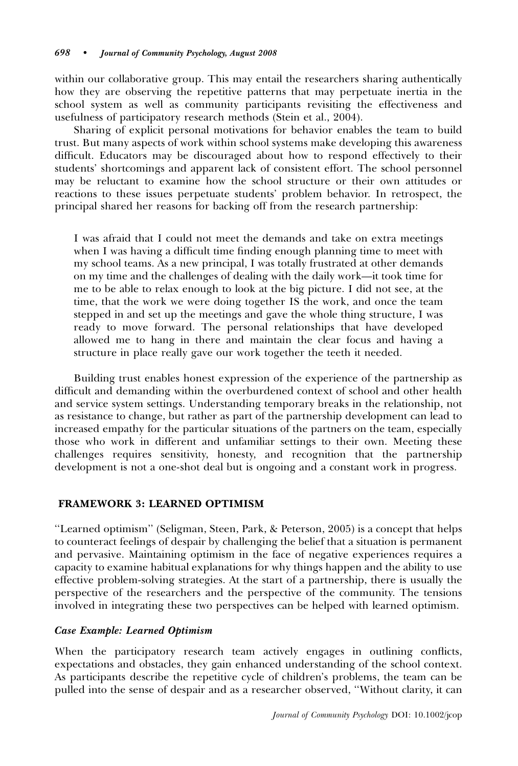within our collaborative group. This may entail the researchers sharing authentically how they are observing the repetitive patterns that may perpetuate inertia in the school system as well as community participants revisiting the effectiveness and usefulness of participatory research methods (Stein et al., 2004).

Sharing of explicit personal motivations for behavior enables the team to build trust. But many aspects of work within school systems make developing this awareness difficult. Educators may be discouraged about how to respond effectively to their students' shortcomings and apparent lack of consistent effort. The school personnel may be reluctant to examine how the school structure or their own attitudes or reactions to these issues perpetuate students' problem behavior. In retrospect, the principal shared her reasons for backing off from the research partnership:

I was afraid that I could not meet the demands and take on extra meetings when I was having a difficult time finding enough planning time to meet with my school teams. As a new principal, I was totally frustrated at other demands on my time and the challenges of dealing with the daily work—it took time for me to be able to relax enough to look at the big picture. I did not see, at the time, that the work we were doing together IS the work, and once the team stepped in and set up the meetings and gave the whole thing structure, I was ready to move forward. The personal relationships that have developed allowed me to hang in there and maintain the clear focus and having a structure in place really gave our work together the teeth it needed.

Building trust enables honest expression of the experience of the partnership as difficult and demanding within the overburdened context of school and other health and service system settings. Understanding temporary breaks in the relationship, not as resistance to change, but rather as part of the partnership development can lead to increased empathy for the particular situations of the partners on the team, especially those who work in different and unfamiliar settings to their own. Meeting these challenges requires sensitivity, honesty, and recognition that the partnership development is not a one-shot deal but is ongoing and a constant work in progress.

## FRAMEWORK 3: LEARNED OPTIMISM

''Learned optimism'' (Seligman, Steen, Park, & Peterson, 2005) is a concept that helps to counteract feelings of despair by challenging the belief that a situation is permanent and pervasive. Maintaining optimism in the face of negative experiences requires a capacity to examine habitual explanations for why things happen and the ability to use effective problem-solving strategies. At the start of a partnership, there is usually the perspective of the researchers and the perspective of the community. The tensions involved in integrating these two perspectives can be helped with learned optimism.

## Case Example: Learned Optimism

When the participatory research team actively engages in outlining conflicts, expectations and obstacles, they gain enhanced understanding of the school context. As participants describe the repetitive cycle of children's problems, the team can be pulled into the sense of despair and as a researcher observed, ''Without clarity, it can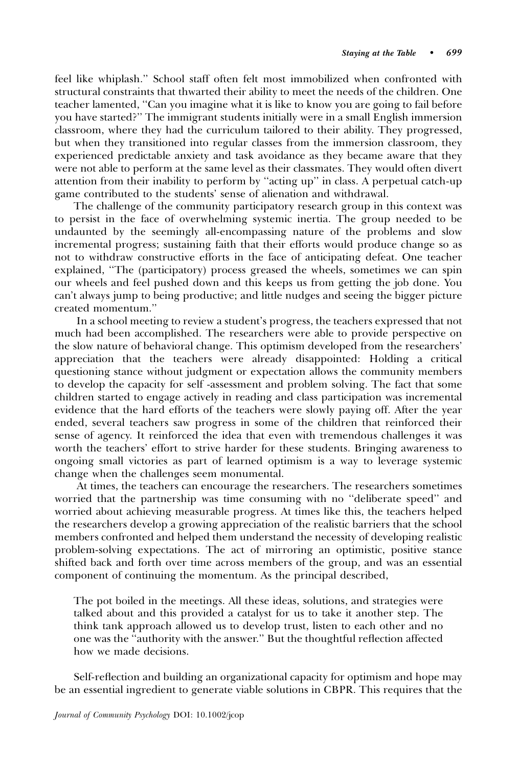feel like whiplash.'' School staff often felt most immobilized when confronted with structural constraints that thwarted their ability to meet the needs of the children. One teacher lamented, ''Can you imagine what it is like to know you are going to fail before you have started?'' The immigrant students initially were in a small English immersion classroom, where they had the curriculum tailored to their ability. They progressed, but when they transitioned into regular classes from the immersion classroom, they experienced predictable anxiety and task avoidance as they became aware that they were not able to perform at the same level as their classmates. They would often divert attention from their inability to perform by ''acting up'' in class. A perpetual catch-up game contributed to the students' sense of alienation and withdrawal.

The challenge of the community participatory research group in this context was to persist in the face of overwhelming systemic inertia. The group needed to be undaunted by the seemingly all-encompassing nature of the problems and slow incremental progress; sustaining faith that their efforts would produce change so as not to withdraw constructive efforts in the face of anticipating defeat. One teacher explained, ''The (participatory) process greased the wheels, sometimes we can spin our wheels and feel pushed down and this keeps us from getting the job done. You can't always jump to being productive; and little nudges and seeing the bigger picture created momentum.''

In a school meeting to review a student's progress, the teachers expressed that not much had been accomplished. The researchers were able to provide perspective on the slow nature of behavioral change. This optimism developed from the researchers' appreciation that the teachers were already disappointed: Holding a critical questioning stance without judgment or expectation allows the community members to develop the capacity for self -assessment and problem solving. The fact that some children started to engage actively in reading and class participation was incremental evidence that the hard efforts of the teachers were slowly paying off. After the year ended, several teachers saw progress in some of the children that reinforced their sense of agency. It reinforced the idea that even with tremendous challenges it was worth the teachers' effort to strive harder for these students. Bringing awareness to ongoing small victories as part of learned optimism is a way to leverage systemic change when the challenges seem monumental.

At times, the teachers can encourage the researchers. The researchers sometimes worried that the partnership was time consuming with no ''deliberate speed'' and worried about achieving measurable progress. At times like this, the teachers helped the researchers develop a growing appreciation of the realistic barriers that the school members confronted and helped them understand the necessity of developing realistic problem-solving expectations. The act of mirroring an optimistic, positive stance shifted back and forth over time across members of the group, and was an essential component of continuing the momentum. As the principal described,

The pot boiled in the meetings. All these ideas, solutions, and strategies were talked about and this provided a catalyst for us to take it another step. The think tank approach allowed us to develop trust, listen to each other and no one was the ''authority with the answer.'' But the thoughtful reflection affected how we made decisions.

Self-reflection and building an organizational capacity for optimism and hope may be an essential ingredient to generate viable solutions in CBPR. This requires that the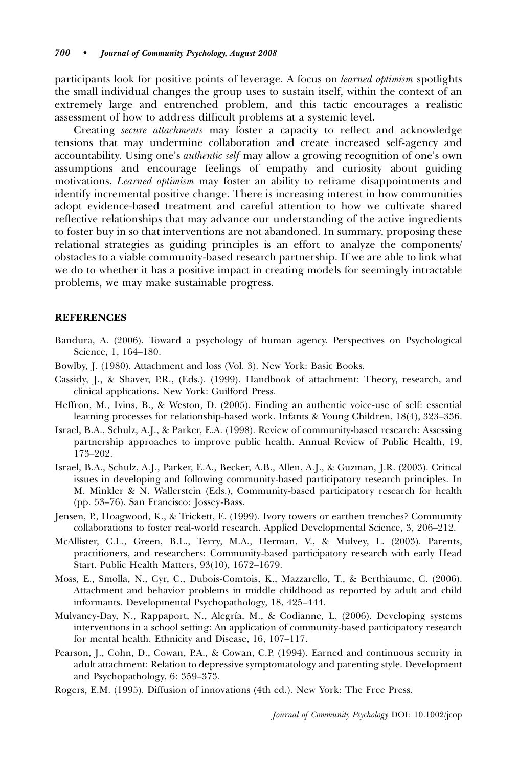participants look for positive points of leverage. A focus on learned optimism spotlights the small individual changes the group uses to sustain itself, within the context of an extremely large and entrenched problem, and this tactic encourages a realistic assessment of how to address difficult problems at a systemic level.

Creating secure attachments may foster a capacity to reflect and acknowledge tensions that may undermine collaboration and create increased self-agency and accountability. Using one's *authentic self* may allow a growing recognition of one's own assumptions and encourage feelings of empathy and curiosity about guiding motivations. Learned optimism may foster an ability to reframe disappointments and identify incremental positive change. There is increasing interest in how communities adopt evidence-based treatment and careful attention to how we cultivate shared reflective relationships that may advance our understanding of the active ingredients to foster buy in so that interventions are not abandoned. In summary, proposing these relational strategies as guiding principles is an effort to analyze the components/ obstacles to a viable community-based research partnership. If we are able to link what we do to whether it has a positive impact in creating models for seemingly intractable problems, we may make sustainable progress.

## REFERENCES

- Bandura, A. (2006). Toward a psychology of human agency. Perspectives on Psychological Science, 1, 164–180.
- Bowlby, J. (1980). Attachment and loss (Vol. 3). New York: Basic Books.
- Cassidy, J., & Shaver, P.R., (Eds.). (1999). Handbook of attachment: Theory, research, and clinical applications. New York: Guilford Press.
- Heffron, M., Ivins, B., & Weston, D. (2005). Finding an authentic voice-use of self: essential learning processes for relationship-based work. Infants & Young Children, 18(4), 323–336.
- Israel, B.A., Schulz, A.J., & Parker, E.A. (1998). Review of community-based research: Assessing partnership approaches to improve public health. Annual Review of Public Health, 19, 173–202.
- Israel, B.A., Schulz, A.J., Parker, E.A., Becker, A.B., Allen, A.J., & Guzman, J.R. (2003). Critical issues in developing and following community-based participatory research principles. In M. Minkler & N. Wallerstein (Eds.), Community-based participatory research for health (pp. 53–76). San Francisco: Jossey-Bass.
- Jensen, P., Hoagwood, K., & Trickett, E. (1999). Ivory towers or earthen trenches? Community collaborations to foster real-world research. Applied Developmental Science, 3, 206–212.
- McAllister, C.L., Green, B.L., Terry, M.A., Herman, V., & Mulvey, L. (2003). Parents, practitioners, and researchers: Community-based participatory research with early Head Start. Public Health Matters, 93(10), 1672–1679.
- Moss, E., Smolla, N., Cyr, C., Dubois-Comtois, K., Mazzarello, T., & Berthiaume, C. (2006). Attachment and behavior problems in middle childhood as reported by adult and child informants. Developmental Psychopathology, 18, 425–444.
- Mulvaney-Day, N., Rappaport, N., Alegría, M., & Codianne, L. (2006). Developing systems interventions in a school setting: An application of community-based participatory research for mental health. Ethnicity and Disease, 16, 107–117.
- Pearson, J., Cohn, D., Cowan, P.A., & Cowan, C.P. (1994). Earned and continuous security in adult attachment: Relation to depressive symptomatology and parenting style. Development and Psychopathology, 6: 359–373.
- Rogers, E.M. (1995). Diffusion of innovations (4th ed.). New York: The Free Press.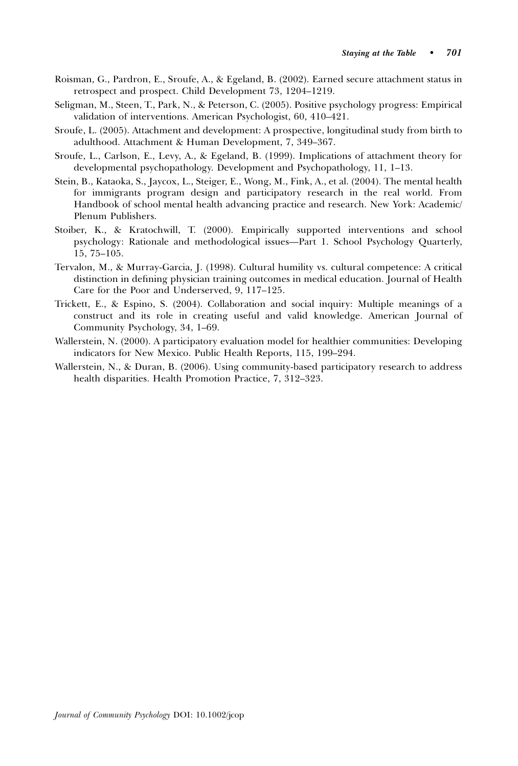- Roisman, G., Pardron, E., Sroufe, A., & Egeland, B. (2002). Earned secure attachment status in retrospect and prospect. Child Development 73, 1204–1219.
- Seligman, M., Steen, T., Park, N., & Peterson, C. (2005). Positive psychology progress: Empirical validation of interventions. American Psychologist, 60, 410–421.
- Sroufe, L. (2005). Attachment and development: A prospective, longitudinal study from birth to adulthood. Attachment & Human Development, 7, 349–367.
- Sroufe, L., Carlson, E., Levy, A., & Egeland, B. (1999). Implications of attachment theory for developmental psychopathology. Development and Psychopathology, 11, 1–13.
- Stein, B., Kataoka, S., Jaycox, L., Steiger, E., Wong, M., Fink, A., et al. (2004). The mental health for immigrants program design and participatory research in the real world. From Handbook of school mental health advancing practice and research. New York: Academic/ Plenum Publishers.
- Stoiber, K., & Kratochwill, T. (2000). Empirically supported interventions and school psychology: Rationale and methodological issues—Part 1. School Psychology Quarterly, 15, 75–105.
- Tervalon, M., & Murray-Garcia, J. (1998). Cultural humility vs. cultural competence: A critical distinction in defining physician training outcomes in medical education. Journal of Health Care for the Poor and Underserved, 9, 117–125.
- Trickett, E., & Espino, S. (2004). Collaboration and social inquiry: Multiple meanings of a construct and its role in creating useful and valid knowledge. American Journal of Community Psychology, 34, 1–69.
- Wallerstein, N. (2000). A participatory evaluation model for healthier communities: Developing indicators for New Mexico. Public Health Reports, 115, 199–294.
- Wallerstein, N., & Duran, B. (2006). Using community-based participatory research to address health disparities. Health Promotion Practice, 7, 312–323.